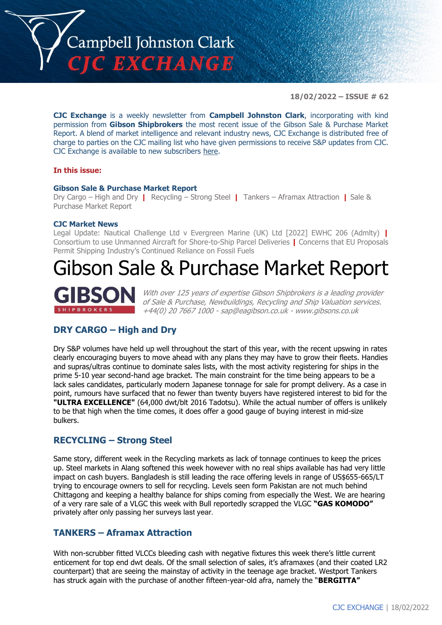

**18/02/2022 – ISSUE # 62**

**CJC Exchange** is a weekly newsletter from **Campbell Johnston Clark**, incorporating with kind permission from **Gibson Shipbrokers** the most recent issue of the Gibson Sale & Purchase Market Report. A blend of market intelligence and relevant industry news, CJC Exchange is distributed free of charge to parties on the CJC mailing list who have given permissions to receive S&P updates from CJC. CJC Exchange is available to new subscribers [here.](mailto:jamesc@cjclaw.com?subject=CJC%20Exchange%20sign-up)

#### **In this issue:**

#### **Gibson Sale & Purchase Market Report**

Dry Cargo – High and Dry **|** Recycling – Strong Steel **|** Tankers – Aframax Attraction **|** Sale & Purchase Market Report

#### **CJC Market News**

Legal Update: Nautical Challenge Ltd v Evergreen Marine (UK) Ltd [2022] EWHC 206 (Admlty) **|** Consortium to use Unmanned Aircraft for Shore-to-Ship Parcel Deliveries **|** Concerns that EU Proposals Permit Shipping Industry's Continued Reliance on Fossil Fuels

# Gibson Sale & Purchase Market Report



With over 125 years of expertise Gibson Shipbrokers is a leading provider of Sale & Purchase, Newbuildings, Recycling and Ship Valuation services. +44(0) 20 7667 1000 - [sap@eagibson.co.uk](mailto:sap@eagibson.co.uk) - [www.gibsons.co.uk](https://protect-eu.mimecast.com/s/VO6nCGZzRS60KqcK1jQh/)

## **DRY CARGO – High and Dry**

Dry S&P volumes have held up well throughout the start of this year, with the recent upswing in rates clearly encouraging buyers to move ahead with any plans they may have to grow their fleets. Handies and supras/ultras continue to dominate sales lists, with the most activity registering for ships in the prime 5-10 year second-hand age bracket. The main constraint for the time being appears to be a lack sales candidates, particularly modern Japanese tonnage for sale for prompt delivery. As a case in point, rumours have surfaced that no fewer than twenty buyers have registered interest to bid for the **"ULTRA EXCELLENCE"** (64,000 dwt/blt 2016 Tadotsu). While the actual number of offers is unlikely to be that high when the time comes, it does offer a good gauge of buying interest in mid-size bulkers.

## **RECYCLING – Strong Steel**

Same story, different week in the Recycling markets as lack of tonnage continues to keep the prices up. Steel markets in Alang softened this week however with no real ships available has had very little impact on cash buyers. Bangladesh is still leading the race offering levels in range of US\$655-665/LT trying to encourage owners to sell for recycling. Levels seen form Pakistan are not much behind Chittagong and keeping a healthy balance for ships coming from especially the West. We are hearing of a very rare sale of a VLGC this week with Bull reportedly scrapped the VLGC **"GAS KOMODO"** privately after only passing her surveys last year.

# **TANKERS – Aframax Attraction**

With non-scrubber fitted VLCCs bleeding cash with negative fixtures this week there's little current enticement for top end dwt deals. Of the small selection of sales, it's aframaxes (and their coated LR2 counterpart) that are seeing the mainstay of activity in the teenage age bracket. Westport Tankers has struck again with the purchase of another fifteen-year-old afra, namely the "**BERGITTA"**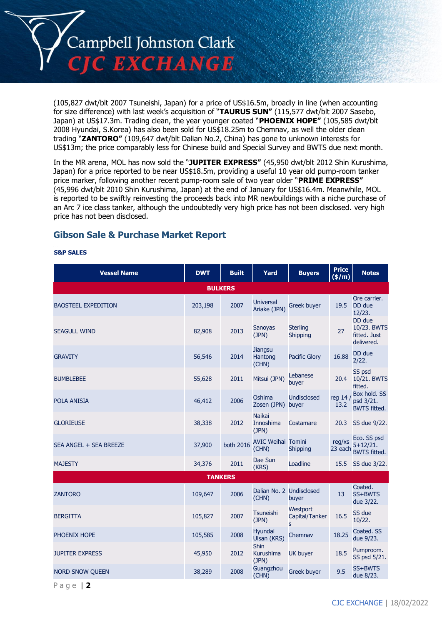

(105,827 dwt/blt 2007 Tsuneishi, Japan) for a price of US\$16.5m, broadly in line (when accounting for size difference) with last week's acquisition of "**TAURUS SUN"** (115,577 dwt/blt 2007 Sasebo, Japan) at US\$17.3m. Trading clean, the year younger coated "**PHOENIX HOPE"** (105,585 dwt/blt 2008 Hyundai, S.Korea) has also been sold for US\$18.25m to Chemnav, as well the older clean trading "**ZANTORO"** (109,647 dwt/blt Dalian No.2, China) has gone to unknown interests for US\$13m; the price comparably less for Chinese build and Special Survey and BWTS due next month.

In the MR arena, MOL has now sold the "**JUPITER EXPRESS"** (45,950 dwt/blt 2012 Shin Kurushima, Japan) for a price reported to be near US\$18.5m, providing a useful 10 year old pump-room tanker price marker, following another recent pump-room sale of two year older "**PRIME EXPRESS"** (45,996 dwt/blt 2010 Shin Kurushima, Japan) at the end of January for US\$16.4m. Meanwhile, MOL is reported to be swiftly reinvesting the proceeds back into MR newbuildings with a niche purchase of an Arc 7 ice class tanker, although the undoubtedly very high price has not been disclosed. very high price has not been disclosed.

# **Gibson Sale & Purchase Market Report**

#### **S&P SALES**

| <b>Vessel Name</b>         | <b>DWT</b>     | <b>Built</b> | Yard                                | <b>Buyers</b>                    | <b>Price</b><br>$($ \$/m $)$ | <b>Notes</b>                                        |  |  |
|----------------------------|----------------|--------------|-------------------------------------|----------------------------------|------------------------------|-----------------------------------------------------|--|--|
|                            | <b>BULKERS</b> |              |                                     |                                  |                              |                                                     |  |  |
| <b>BAOSTEEL EXPEDITION</b> | 203,198        | 2007         | <b>Universal</b><br>Ariake (JPN)    | Greek buyer                      | 19.5                         | Ore carrier.<br>DD due<br>12/23.                    |  |  |
| <b>SEAGULL WIND</b>        | 82,908         | 2013         | <b>Sanoyas</b><br>(JPN)             | <b>Sterling</b><br>Shipping      | 27                           | DD due<br>10/23. BWTS<br>fitted. Just<br>delivered. |  |  |
| <b>GRAVITY</b>             | 56,546         | 2014         | <b>Jiangsu</b><br>Hantong<br>(CHN)  | Pacific Glory                    | 16.88                        | DD due<br>2/22.                                     |  |  |
| <b>BUMBLEBEE</b>           | 55,628         | 2011         | Mitsui (JPN)                        | Lebanese<br>buyer                | 20.4                         | SS psd<br>10/21. BWTS<br>fitted.                    |  |  |
| <b>POLA ANISIA</b>         | 46,412         | 2006         | Oshima<br>Zosen (JPN) buyer         | <b>Undisclosed</b>               | reg 14 /<br>13.2             | Box hold. SS<br>psd 3/21.<br><b>BWTS fitted.</b>    |  |  |
| <b>GLORIEUSE</b>           | 38,338         | 2012         | <b>Naikai</b><br>Innoshima<br>(JPN) | Costamare                        | 20.3                         | SS due 9/22.                                        |  |  |
| SEA ANGEL + SEA BREEZE     | 37,900         | both 2016    | <b>AVIC Weihai Tomini</b><br>(CHN)  | <b>Shipping</b>                  | reg/xs<br>23 each            | Eco. SS psd<br>$5+12/21.$<br><b>BWTS fitted.</b>    |  |  |
| <b>MAJESTY</b>             | 34,376         | 2011         | Dae Sun<br>(KRS)                    | Loadline                         | 15.5                         | SS due 3/22.                                        |  |  |
| <b>TANKERS</b>             |                |              |                                     |                                  |                              |                                                     |  |  |
| <b>ZANTORO</b>             | 109,647        | 2006         | Dalian No. 2 Undisclosed<br>(CHN)   | buyer                            | 13                           | Coated.<br>SS+BWTS<br>due 3/22.                     |  |  |
| <b>BERGITTA</b>            | 105,827        | 2007         | Tsuneishi<br>(JPN)                  | Westport<br>Capital/Tanker<br>s. | 16.5                         | SS due<br>10/22.                                    |  |  |
| PHOENIX HOPE               | 105,585        | 2008         | <b>Hyundai</b><br>Ulsan (KRS)       | Chemnav                          | 18.25                        | Coated. SS<br>due 9/23.                             |  |  |
| <b>JUPITER EXPRESS</b>     | 45,950         | 2012         | Shin<br>Kurushima<br>(JPN)          | UK buyer                         | 18.5                         | Pumproom.<br>SS psd 5/21.                           |  |  |
| <b>NORD SNOW QUEEN</b>     | 38,289         | 2008         | Guangzhou<br>(CHN)                  | Greek buyer                      | 9.5                          | SS+BWTS<br>due 8/23.                                |  |  |

P a g e | **2**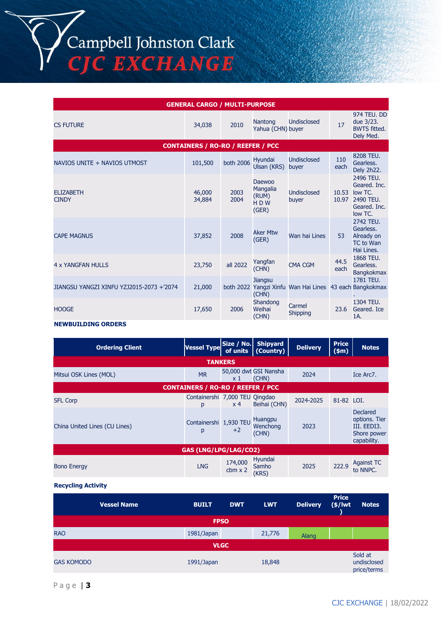Campbell Johnston Clark<br>CJC EXCHANGE

| <b>GENERAL CARGO / MULTI-PURPOSE</b>     |                                          |                  |                                             |                                                         |                |                                                                              |  |  |
|------------------------------------------|------------------------------------------|------------------|---------------------------------------------|---------------------------------------------------------|----------------|------------------------------------------------------------------------------|--|--|
| <b>CS FUTURE</b>                         | 34,038                                   | 2010             | Nantong<br>Yahua (CHN) buyer                | <b>Undisclosed</b>                                      | 17             | 974 TEU, DD<br>due 3/23.<br><b>BWTS</b> fitted.<br>Dely Med.                 |  |  |
|                                          | <b>CONTAINERS / RO-RO / REEFER / PCC</b> |                  |                                             |                                                         |                |                                                                              |  |  |
| NAVIOS UNITE + NAVIOS UTMOST             | 101,500                                  | <b>both 2006</b> | Hyundai<br>Ulsan (KRS)                      | Undisclosed<br>buyer                                    | 110<br>each    | 8208 TEU.<br>Gearless.<br>Dely 2h22.                                         |  |  |
| <b>ELIZABETH</b><br><b>CINDY</b>         | 46,000<br>34,884                         | 2003<br>2004     | Daewoo<br>Mangalia<br>(RUM)<br>HDW<br>(GER) | <b>Undisclosed</b><br>buyer                             | 10.53<br>10.97 | 2496 TEU.<br>Geared. Inc.<br>low TC.<br>2490 TEU.<br>Geared. Inc.<br>low TC. |  |  |
| <b>CAPE MAGNUS</b>                       | 37,852                                   | 2008             | <b>Aker Mtw</b><br>(GER)                    | Wan hai Lines                                           | 53             | 2742 TEU.<br>Gearless.<br>Already on<br><b>TC</b> to Wan<br>Hai Lines.       |  |  |
| 4 x YANGFAN HULLS                        | 23,750                                   | all 2022         | Yangfan<br>(CHN)                            | <b>CMA CGM</b>                                          | 44.5<br>each   | 1868 TEU.<br>Gearless.<br><b>Bangkokmax</b>                                  |  |  |
| JIANGSU YANGZI XINFU YZJ2015-2073 +'2074 | 21,000                                   |                  | <b>Jiangsu</b><br>(CHN)                     | both 2022 Yangzi Xinfu Wan Hai Lines 43 each Bangkokmax |                | 1781 TEU.                                                                    |  |  |
| <b>HOOGE</b>                             | 17,650                                   | 2006             | Shandong<br>Weihai<br>(CHN)                 | Carmel<br>Shipping                                      | 23.6           | 1304 TEU.<br>Geared. Ice<br>1A.                                              |  |  |

#### **NEWBUILDING ORDERS**

| <b>Ordering Client</b>                   | <b>Vessel Type</b>                  | Size / No.<br>of units    | <b>Shipyard</b><br>(Country)   | <b>Delivery</b> | <b>Price</b><br>\$m\$ | <b>Notes</b>                                                           |  |  |  |
|------------------------------------------|-------------------------------------|---------------------------|--------------------------------|-----------------|-----------------------|------------------------------------------------------------------------|--|--|--|
| <b>TANKERS</b>                           |                                     |                           |                                |                 |                       |                                                                        |  |  |  |
| Mitsui OSK Lines (MOL)                   | <b>MR</b>                           | x 1                       | 50,000 dwt GSI Nansha<br>(CHN) | 2024            |                       | Ice Arc7.                                                              |  |  |  |
| <b>CONTAINERS / RO-RO / REEFER / PCC</b> |                                     |                           |                                |                 |                       |                                                                        |  |  |  |
| <b>SFL Corp</b>                          | Containershi 7,000 TEU Qingdao<br>p | x <sub>4</sub>            | Beihai (CHN)                   | 2024-2025       | 81-82 LOI.            |                                                                        |  |  |  |
| China United Lines (CU Lines)            | Containershi 1,930 TEU<br>p         | $+2$                      | Huangpu<br>Wenchong<br>(CHN)   | 2023            |                       | Declared<br>options. Tier<br>III. EEDI3.<br>Shore power<br>capability. |  |  |  |
| <b>GAS (LNG/LPG/LAG/CO2)</b>             |                                     |                           |                                |                 |                       |                                                                        |  |  |  |
| <b>Bono Energy</b>                       | <b>LNG</b>                          | 174,000<br>$cbm \times 2$ | Hyundai<br>Samho<br>(KRS)      | 2025            | 222.9                 | <b>Against TC</b><br>to NNPC.                                          |  |  |  |

**Recycling Activity**

|                   | <b>Vessel Name</b> | <b>BUILT</b> | <b>DWT</b> | <b>LWT</b> | <b>Delivery</b> | <b>Price</b><br>$(*)$ lwt | <b>Notes</b>                          |  |
|-------------------|--------------------|--------------|------------|------------|-----------------|---------------------------|---------------------------------------|--|
| <b>FPSO</b>       |                    |              |            |            |                 |                           |                                       |  |
| <b>RAO</b>        |                    | 1981/Japan   |            | 21,776     | Alang           |                           |                                       |  |
| <b>VLGC</b>       |                    |              |            |            |                 |                           |                                       |  |
| <b>GAS KOMODO</b> |                    | 1991/Japan   |            | 18,848     |                 |                           | Sold at<br>undisclosed<br>price/terms |  |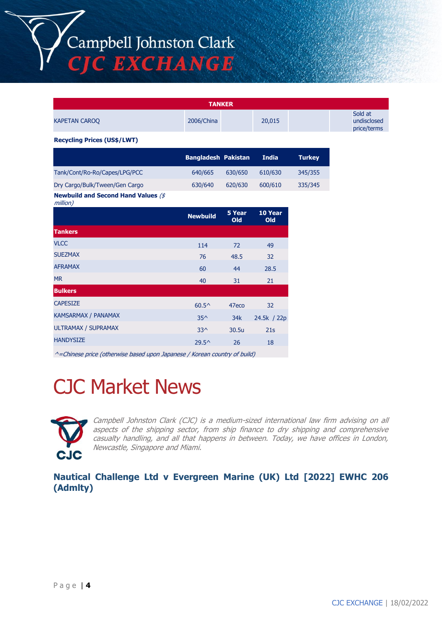Campbell Johnston Clark **C EXCHANGE** 

**TANKER** KAPETAN CAROQ 2006/China 20,015 Sold at undisclosed price/terms **Recycling Prices (US\$/LWT) Bangladesh Pakistan India Turkey** Tank/Cont/Ro-Ro/Capes/LPG/PCC 640/665 630/650 610/630 345/355 Dry Cargo/Bulk/Tween/Gen Cargo 630/640 620/630 600/610 335/345 **Newbuild and Second Hand Values** (\$ million) **Newbuild 5 Year Old 10 Year Old Tankers** VLCC 2001 114 72 49  $SUEZMAX$  32 AFRAMAX 60 44 28.5 MR 40 31 21 **Bulkers**  $\text{CAPESIZE}$  60.5^ 47eco 32  $KAMSARMAX / PANAMAX$   $35^{\wedge}$   $34k$   $24.5k$  /  $22p$ ULTRAMAX / SUPRAMAX 33^ 30.5u 21s  $H$ ANDYSIZE 29.5^ 26 18

^=Chinese price (otherwise based upon Japanese / Korean country of build)

# CJC Market News



Campbell Johnston Clark (CJC) is a medium-sized international law firm advising on all aspects of the shipping sector, from ship finance to dry shipping and comprehensive casualty handling, and all that happens in between. Today, we have offices in London, Newcastle, Singapore and Miami.

**Nautical Challenge Ltd v Evergreen Marine (UK) Ltd [2022] EWHC 206 (Admlty)**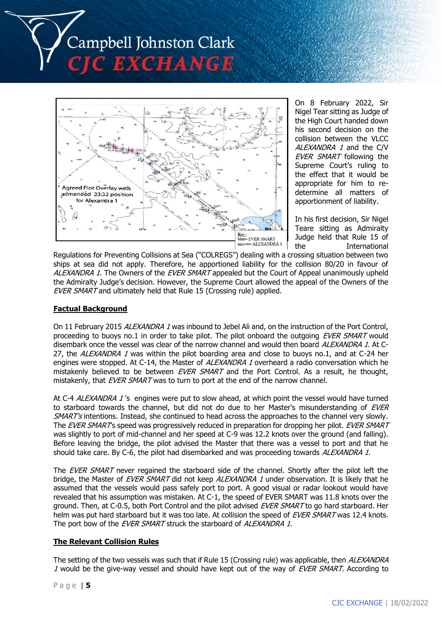



On 8 February 2022, Sir Nigel Tear sitting as Judge of the High Court handed down his second decision on the collision between the VLCC ALEXANDRA 1 and the C/V EVER SMART following the Supreme Court's ruling to the effect that it would be appropriate for him to redetermine all matters of apportionment of liability.

In his first decision, Sir Nigel Teare sitting as Admiralty Judge held that Rule 15 of the International

Regulations for Preventing Collisions at Sea ("COLREGS") dealing with a crossing situation between two ships at sea did not apply. Therefore, he apportioned liability for the collision 80/20 in favour of ALEXANDRA 1. The Owners of the EVER SMART appealed but the Court of Appeal unanimously upheld the Admiralty Judge's decision. However, the Supreme Court allowed the appeal of the Owners of the EVER SMART and ultimately held that Rule 15 (Crossing rule) applied.

### **Factual Background**

On 11 February 2015 ALEXANDRA 1 was inbound to Jebel Ali and, on the instruction of the Port Control, proceeding to buoys no.1 in order to take pilot. The pilot onboard the outgoing EVER SMART would disembark once the vessel was clear of the narrow channel and would then board ALEXANDRA 1. At C-27, the *ALEXANDRA 1* was within the pilot boarding area and close to buoys no.1, and at C-24 her engines were stopped. At C-14, the Master of *ALEXANDRA 1* overheard a radio conversation which he mistakenly believed to be between EVER SMART and the Port Control. As a result, he thought, mistakenly, that EVER SMART was to turn to port at the end of the narrow channel.

At C-4 ALEXANDRA 1's engines were put to slow ahead, at which point the vessel would have turned to starboard towards the channel, but did not do due to her Master's misunderstanding of EVER SMART's intentions. Instead, she continued to head across the approaches to the channel very slowly. The EVER SMART's speed was progressively reduced in preparation for dropping her pilot. EVER SMART was slightly to port of mid-channel and her speed at C-9 was 12.2 knots over the ground (and falling). Before leaving the bridge, the pilot advised the Master that there was a vessel to port and that he should take care. By C-6, the pilot had disembarked and was proceeding towards ALEXANDRA 1.

The EVER SMART never regained the starboard side of the channel. Shortly after the pilot left the bridge, the Master of EVER SMART did not keep ALEXANDRA 1 under observation. It is likely that he assumed that the vessels would pass safely port to port. A good visual or radar lookout would have revealed that his assumption was mistaken. At C-1, the speed of EVER SMART was 11.8 knots over the ground. Then, at C-0.5, both Port Control and the pilot advised EVER SMART to go hard starboard. Her helm was put hard starboard but it was too late. At collision the speed of EVER SMART was 12.4 knots. The port bow of the EVER SMART struck the starboard of ALEXANDRA 1.

### **The Relevant Collision Rules**

The setting of the two vessels was such that if Rule 15 (Crossing rule) was applicable, then ALEXANDRA 1 would be the give-way vessel and should have kept out of the way of EVER SMART. According to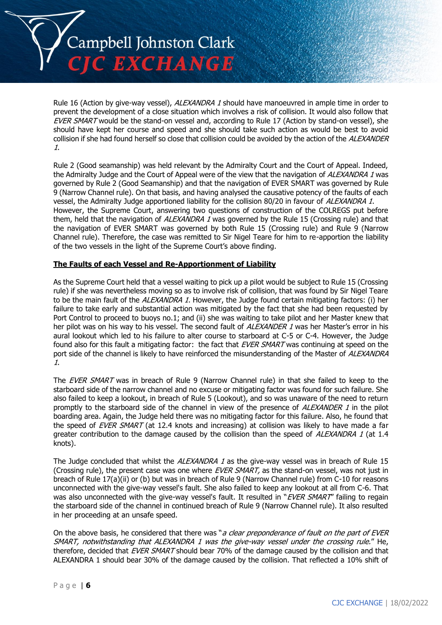

Rule 16 (Action by give-way vessel), ALEXANDRA 1 should have manoeuvred in ample time in order to prevent the development of a close situation which involves a risk of collision. It would also follow that EVER SMART would be the stand-on vessel and, according to Rule 17 (Action by stand-on vessel), she should have kept her course and speed and she should take such action as would be best to avoid collision if she had found herself so close that collision could be avoided by the action of the ALEXANDER 1.

Rule 2 (Good seamanship) was held relevant by the Admiralty Court and the Court of Appeal. Indeed, the Admiralty Judge and the Court of Appeal were of the view that the navigation of ALEXANDRA 1 was governed by Rule 2 (Good Seamanship) and that the navigation of EVER SMART was governed by Rule 9 (Narrow Channel rule). On that basis, and having analysed the causative potency of the faults of each vessel, the Admiralty Judge apportioned liability for the collision 80/20 in favour of ALEXANDRA 1. However, the Supreme Court, answering two questions of construction of the COLREGS put before them, held that the navigation of ALEXANDRA 1 was governed by the Rule 15 (Crossing rule) and that the navigation of EVER SMART was governed by both Rule 15 (Crossing rule) and Rule 9 (Narrow Channel rule). Therefore, the case was remitted to Sir Nigel Teare for him to re-apportion the liability of the two vessels in the light of the Supreme Court's above finding.

#### **The Faults of each Vessel and Re-Apportionment of Liability**

As the Supreme Court held that a vessel waiting to pick up a pilot would be subject to Rule 15 (Crossing rule) if she was nevertheless moving so as to involve risk of collision, that was found by Sir Nigel Teare to be the main fault of the ALEXANDRA 1. However, the Judge found certain mitigating factors: (i) her failure to take early and substantial action was mitigated by the fact that she had been requested by Port Control to proceed to buoys no.1; and (ii) she was waiting to take pilot and her Master knew that her pilot was on his way to his vessel. The second fault of ALEXANDER 1 was her Master's error in his aural lookout which led to his failure to alter course to starboard at C-5 or C-4. However, the Judge found also for this fault a mitigating factor: the fact that EVER SMART was continuing at speed on the port side of the channel is likely to have reinforced the misunderstanding of the Master of ALEXANDRA 1.

The EVER SMART was in breach of Rule 9 (Narrow Channel rule) in that she failed to keep to the starboard side of the narrow channel and no excuse or mitigating factor was found for such failure. She also failed to keep a lookout, in breach of Rule 5 (Lookout), and so was unaware of the need to return promptly to the starboard side of the channel in view of the presence of ALEXANDER 1 in the pilot boarding area. Again, the Judge held there was no mitigating factor for this failure. Also, he found that the speed of EVER SMART (at 12.4 knots and increasing) at collision was likely to have made a far greater contribution to the damage caused by the collision than the speed of ALEXANDRA 1 (at 1.4 knots).

The Judge concluded that whilst the ALEXANDRA 1 as the give-way vessel was in breach of Rule 15 (Crossing rule), the present case was one where EVER SMART, as the stand-on vessel, was not just in breach of Rule 17(a)(ii) or (b) but was in breach of Rule 9 (Narrow Channel rule) from C-10 for reasons unconnected with the give-way vessel's fault. She also failed to keep any lookout at all from C-6. That was also unconnected with the give-way vessel's fault. It resulted in "EVER SMART" failing to regain the starboard side of the channel in continued breach of Rule 9 (Narrow Channel rule). It also resulted in her proceeding at an unsafe speed.

On the above basis, he considered that there was "*a clear preponderance of fault on the part of EVER* SMART, notwithstanding that ALEXANDRA 1 was the give-way vessel under the crossing rule." He, therefore, decided that EVER SMART should bear 70% of the damage caused by the collision and that ALEXANDRA 1 should bear 30% of the damage caused by the collision. That reflected a 10% shift of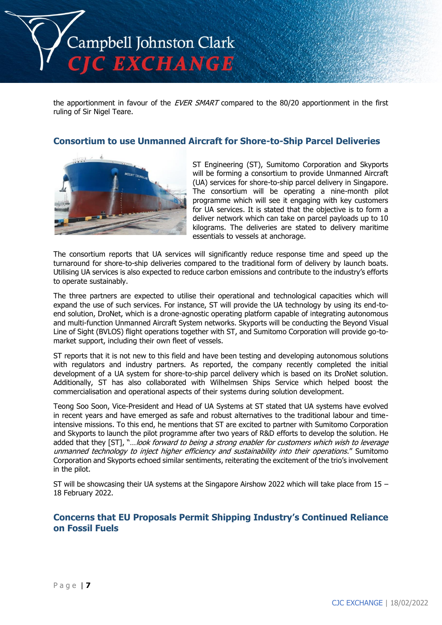

the apportionment in favour of the EVER SMART compared to the 80/20 apportionment in the first ruling of Sir Nigel Teare.

## **Consortium to use Unmanned Aircraft for Shore-to-Ship Parcel Deliveries**



ST Engineering (ST), Sumitomo Corporation and Skyports will be forming a consortium to provide Unmanned Aircraft (UA) services for shore-to-ship parcel delivery in Singapore. The consortium will be operating a nine-month pilot programme which will see it engaging with key customers for UA services. It is stated that the objective is to form a deliver network which can take on parcel payloads up to 10 kilograms. The deliveries are stated to delivery maritime essentials to vessels at anchorage.

The consortium reports that UA services will significantly reduce response time and speed up the turnaround for shore-to-ship deliveries compared to the traditional form of delivery by launch boats. Utilising UA services is also expected to reduce carbon emissions and contribute to the industry's efforts to operate sustainably.

The three partners are expected to utilise their operational and technological capacities which will expand the use of such services. For instance, ST will provide the UA technology by using its end-toend solution, DroNet, which is a drone-agnostic operating platform capable of integrating autonomous and multi-function Unmanned Aircraft System networks. Skyports will be conducting the Beyond Visual Line of Sight (BVLOS) flight operations together with ST, and Sumitomo Corporation will provide go-tomarket support, including their own fleet of vessels.

ST reports that it is not new to this field and have been testing and developing autonomous solutions with regulators and industry partners. As reported, the company recently completed the initial development of a UA system for shore-to-ship parcel delivery which is based on its DroNet solution. Additionally, ST has also collaborated with Wilhelmsen Ships Service which helped boost the commercialisation and operational aspects of their systems during solution development.

Teong Soo Soon, Vice-President and Head of UA Systems at ST stated that UA systems have evolved in recent years and have emerged as safe and robust alternatives to the traditional labour and timeintensive missions. To this end, he mentions that ST are excited to partner with Sumitomo Corporation and Skyports to launch the pilot programme after two years of R&D efforts to develop the solution. He added that they [ST], "...look forward to being a strong enabler for customers which wish to leverage unmanned technology to inject higher efficiency and sustainability into their operations." Sumitomo Corporation and Skyports echoed similar sentiments, reiterating the excitement of the trio's involvement in the pilot.

ST will be showcasing their UA systems at the Singapore Airshow 2022 which will take place from 15 – 18 February 2022.

# **Concerns that EU Proposals Permit Shipping Industry's Continued Reliance on Fossil Fuels**